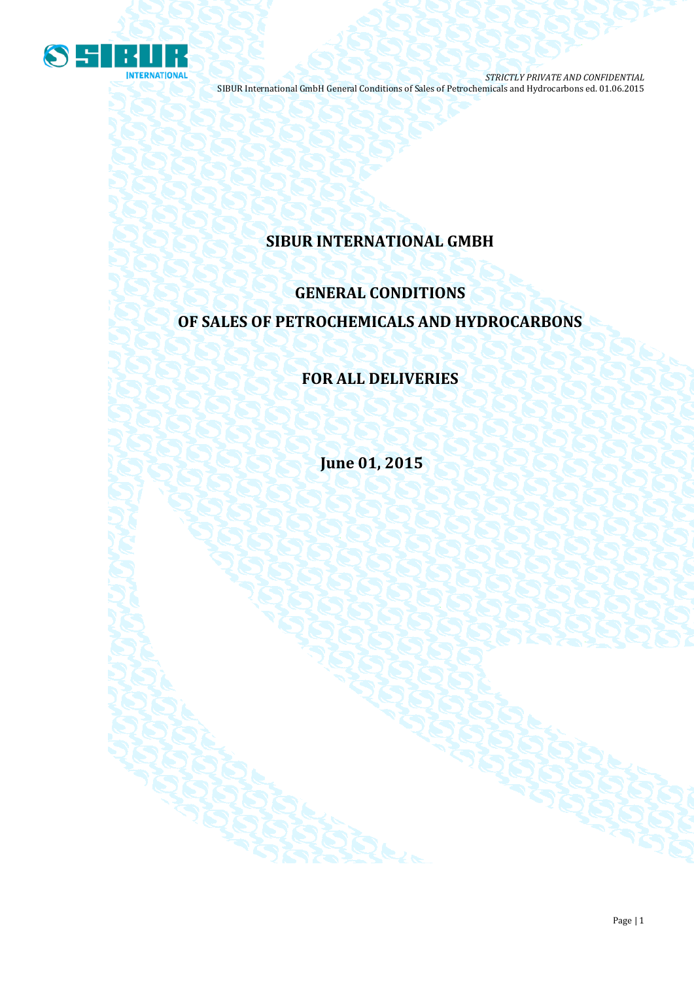

## **SIBUR INTERNATIONAL GMBH**

# **GENERAL CONDITIONS OF SALES OF PETROCHEMICALS AND HYDROCARBONS**

## **FOR ALL DELIVERIES**

**June 01, 2015**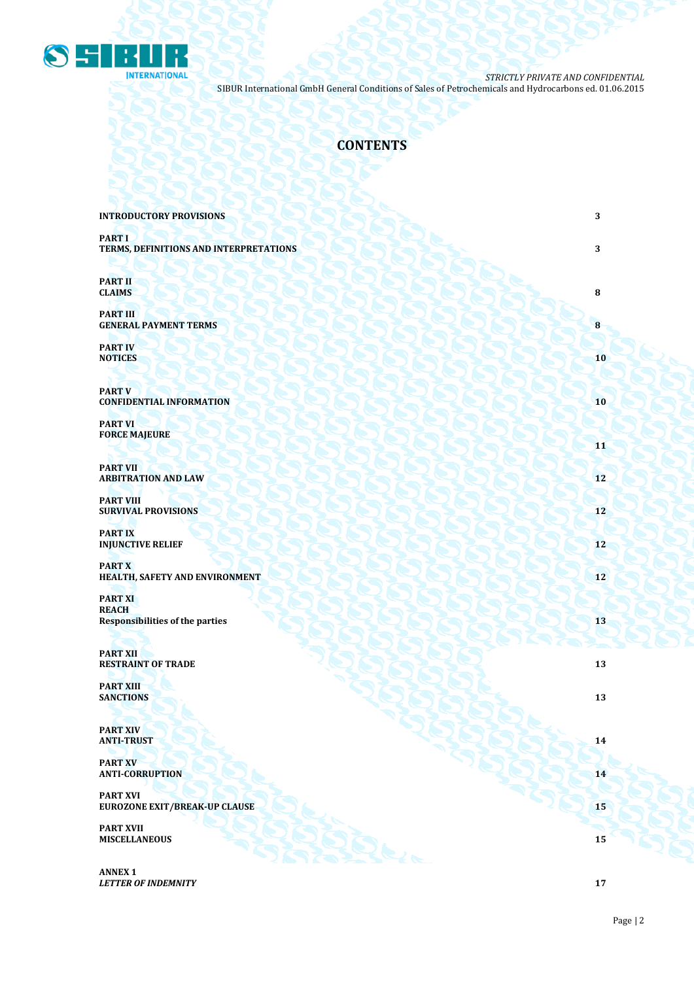

## **CONTENTS**

| <b>INTRODUCTORY PROVISIONS</b>                                           | 3          |
|--------------------------------------------------------------------------|------------|
| <b>PART I</b><br>TERMS, DEFINITIONS AND INTERPRETATIONS                  | 3          |
| <b>PART II</b><br><b>CLAIMS</b>                                          | 8          |
| <b>PART III</b><br><b>GENERAL PAYMENT TERMS</b>                          | 8          |
| <b>PART IV</b><br><b>NOTICES</b>                                         | 10         |
| <b>PART V</b><br><b>CONFIDENTIAL INFORMATION</b>                         | 10         |
| <b>PART VI</b><br><b>FORCE MAJEURE</b>                                   | 11         |
| <b>PART VII</b><br><b>ARBITRATION AND LAW</b>                            | 12         |
| <b>PART VIII</b><br><b>SURVIVAL PROVISIONS</b>                           | 12         |
| <b>PARTIX</b><br><b>INJUNCTIVE RELIEF</b>                                | 12         |
| <b>PARTX</b><br>HEALTH, SAFETY AND ENVIRONMENT                           | 12         |
| <b>PART XI</b><br><b>REACH</b><br><b>Responsibilities of the parties</b> | 13         |
| <b>PART XII</b><br><b>RESTRAINT OF TRADE</b>                             | 13         |
| <b>PART XIII</b><br><b>SANCTIONS</b>                                     | 13         |
| <b>PART XIV</b><br><b>ANTI-TRUST</b>                                     | ${\bf 14}$ |
| <b>PART XV</b><br><b>ANTI-CORRUPTION</b>                                 | 14         |
| <b>PART XVI</b><br><b>EUROZONE EXIT/BREAK-UP CLAUSE</b>                  | 15         |
| <b>PART XVII</b><br><b>MISCELLANEOUS</b>                                 | 15         |
| <b>ANNEX 1</b>                                                           |            |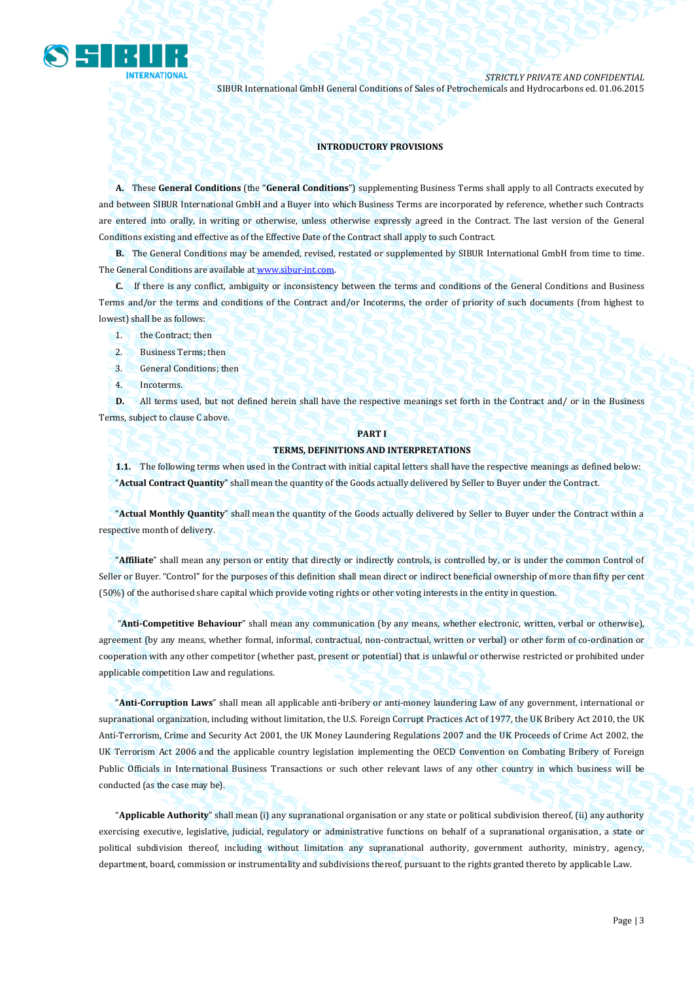

#### **INTRODUCTORY PROVISIONS**

**A.** These **General Conditions** (the "**General Conditions**") supplementing Business Terms shall apply to all Contracts executed by and between SIBUR International GmbH and a Buyer into which Business Terms are incorporated by reference, whether such Contracts are entered into orally, in writing or otherwise, unless otherwise expressly agreed in the Contract. The last version of the General Conditions existing and effective as of the Effective Date of the Contract shall apply to such Contract.

**B.** The General Conditions may be amended, revised, restated or supplemented by SIBUR International GmbH from time to time. The General Conditions are available a[t www.sibur-int.com.](http://www.sibur-int.com/)

**C.** If there is any conflict, ambiguity or inconsistency between the terms and conditions of the General Conditions and Business Terms and/or the terms and conditions of the Contract and/or Incoterms, the order of priority of such documents (from highest to lowest) shall be as follows:

- 1. the Contract; then
- 2. Business Terms; then
- 3. General Conditions; then
- 4. Incoterms.

**D.** All terms used, but not defined herein shall have the respective meanings set forth in the Contract and/ or in the Business Terms, subject to clause C above.

#### **PART I**

#### **TERMS, DEFINITIONS AND INTERPRETATIONS**

**1.1.** The following terms when used in the Contract with initial capital letters shall have the respective meanings as defined below: "**Actual Contract Quantity**" shall mean the quantity of the Goods actually delivered by Seller to Buyer under the Contract.

"**Actual Monthly Quantity**" shall mean the quantity of the Goods actually delivered by Seller to Buyer under the Contract within a respective month of delivery.

"**Affiliate**" shall mean any person or entity that directly or indirectly controls, is controlled by, or is under the common Control of Seller or Buyer. "Control" for the purposes of this definition shall mean direct or indirect beneficial ownership of more than fifty per cent (50%) of the authorised share capital which provide voting rights or other voting interests in the entity in question.

"**Anti-Competitive Behaviour**" shall mean any communication (by any means, whether electronic, written, verbal or otherwise), agreement (by any means, whether formal, informal, contractual, non-contractual, written or verbal) or other form of co-ordination or cooperation with any other competitor (whether past, present or potential) that is unlawful or otherwise restricted or prohibited under applicable competition Law and regulations.

"**Anti-Corruption Laws**" shall mean all applicable anti-bribery or anti-money laundering Law of any government, international or supranational organization, including without limitation, the U.S. Foreign Corrupt Practices Act of 1977, the UK Bribery Act 2010, the UK Anti-Terrorism, Crime and Security Act 2001, the UK Money Laundering Regulations 2007 and the UK Proceeds of Crime Act 2002, the UK Terrorism Act 2006 and the applicable country legislation implementing the OECD Convention on Combating Bribery of Foreign Public Officials in International Business Transactions or such other relevant laws of any other country in which business will be conducted (as the case may be).

"**Applicable Authority**" shall mean (i) any supranational organisation or any state or political subdivision thereof, (ii) any authority exercising executive, legislative, judicial, regulatory or administrative functions on behalf of a supranational organisation, a state or political subdivision thereof, including without limitation any supranational authority, government authority, ministry, agency, department, board, commission or instrumentality and subdivisions thereof, pursuant to the rights granted thereto by applicable Law.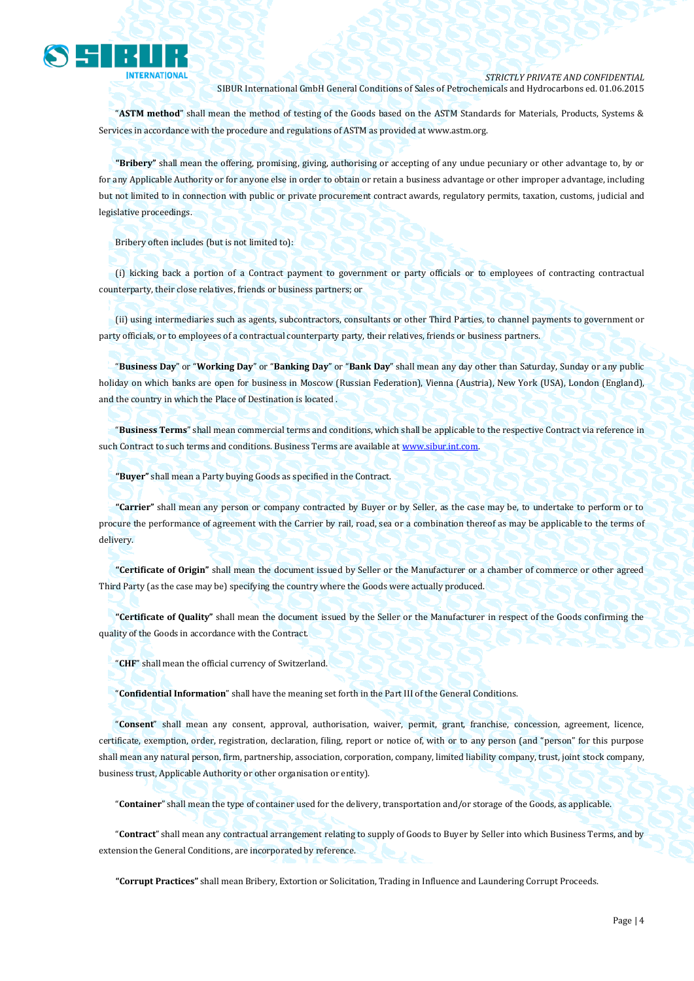

"**ASTM method**" shall mean the method of testing of the Goods based on the ASTM Standards for Materials, Products, Systems & Services in accordance with the procedure and regulations of ASTM as provided a[t www.astm.org.](http://www.astm.org/)

**"Bribery"** shall mean the offering, promising, giving, authorising or accepting of any undue pecuniary or other advantage to, by or for any Applicable Authority or for anyone else in order to obtain or retain a business advantage or other improper advantage, including but not limited to in connection with public or private procurement contract awards, regulatory permits, taxation, customs, judicial and legislative proceedings.

Bribery often includes (but is not limited to):

(i) kicking back a portion of a Contract payment to government or party officials or to employees of contracting contractual counterparty, their close relatives, friends or business partners; or

(ii) using intermediaries such as agents, subcontractors, consultants or other Third Parties, to channel payments to government or party officials, or to employees of a contractual counterparty party, their relatives, friends or business partners.

"**Business Day**" or "**Working Day**" or "**Banking Day**" or "**Bank Day**" shall mean any day other than Saturday, Sunday or any public holiday on which banks are open for business in Moscow (Russian Federation), Vienna (Austria), New York (USA), London (England), and the country in which the Place of Destination is located .

"**Business Terms**" shall mean commercial terms and conditions, which shall be applicable to the respective Contract via reference in such Contract to such terms and conditions. Business Terms are available a[t www.sibur.int.com.](http://www.sibur.int.com/) 

**"Buyer"** shall mean a Party buying Goods as specified in the Contract.

**"Carrier"** shall mean any person or company contracted by Buyer or by Seller, as the case may be, to undertake to perform or to procure the performance of agreement with the Carrier by rail, road, sea or a combination thereof as may be applicable to the terms of delivery.

**"Certificate of Origin"** shall mean the document issued by Seller or the Manufacturer or a chamber of commerce or other agreed Third Party (as the case may be) specifying the country where the Goods were actually produced.

**"Certificate of Quality"** shall mean the document issued by the Seller or the Manufacturer in respect of the Goods confirming the quality of the Goods in accordance with the Contract.

"**CHF**" shall mean the official currency of Switzerland.

"**Confidential Information**" shall have the meaning set forth in the Part III of the General Conditions.

"**Consent**" shall mean any consent, approval, authorisation, waiver, permit, grant, franchise, concession, agreement, licence, certificate, exemption, order, registration, declaration, filing, report or notice of, with or to any person (and "person" for this purpose shall mean any natural person, firm, partnership, association, corporation, company, limited liability company, trust, joint stock company, business trust, Applicable Authority or other organisation or entity).

"**Container**" shall mean the type of container used for the delivery, transportation and/or storage of the Goods, as applicable.

"**Contract**" shall mean any contractual arrangement relating to supply of Goods to Buyer by Seller into which Business Terms, and by extension the General Conditions, are incorporated by reference.

**"Corrupt Practices"** shall mean Bribery, Extortion or Solicitation, Trading in Influence and Laundering Corrupt Proceeds.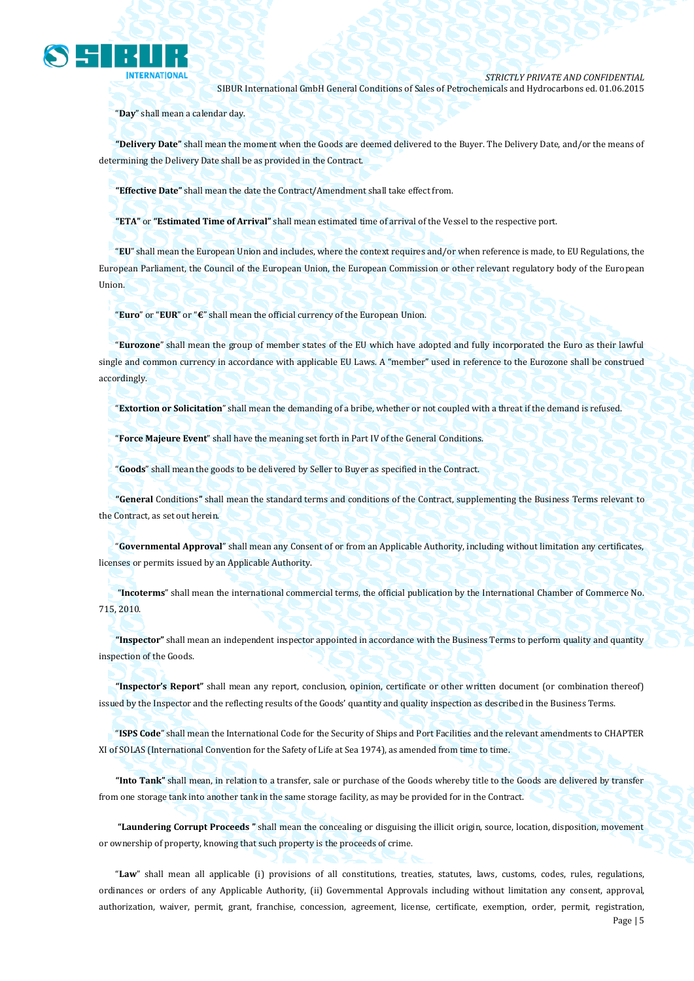

"**Day**" shall mean a calendar day.

**"Delivery Date"** shall mean the moment when the Goods are deemed delivered to the Buyer. The Delivery Date, and/or the means of determining the Delivery Date shall be as provided in the Contract.

**"Effective Date"** shall mean the date the Contract/Amendment shall take effect from.

**"ETA"** or **"Estimated Time of Arrival"** shall mean estimated time of arrival of the Vessel to the respective port.

"**EU**" shall mean the European Union and includes, where the context requires and/or when reference is made, to EU Regulations, the European Parliament, the Council of the European Union, the European Commission or other relevant regulatory body of the European Union.

"**Euro**" or "**EUR**" or "**€**" shall mean the official currency of the European Union.

"**Eurozone**" shall mean the group of member states of the EU which have adopted and fully incorporated the Euro as their lawful single and common currency in accordance with applicable EU Laws. A "member" used in reference to the Eurozone shall be construed accordingly.

"**Extortion or Solicitation**" shall mean the demanding of a bribe, whether or not coupled with a threat if the demand is refused.

"**Force Majeure Event**" shall have the meaning set forth in Part IV of the General Conditions.

"**Goods**" shall mean the goods to be delivered by Seller to Buyer as specified in the Contract.

**"General** Conditions**"** shall mean the standard terms and conditions of the Contract, supplementing the Business Terms relevant to the Contract, as set out herein.

"**Governmental Approval**" shall mean any Consent of or from an Applicable Authority, including without limitation any certificates, licenses or permits issued by an Applicable Authority.

"**Incoterms**" shall mean the international commercial terms, the official publication by the International Chamber of Commerce No. 715, 2010.

**"Inspector"** shall mean an independent inspector appointed in accordance with the Business Terms to perform quality and quantity inspection of the Goods.

**"Inspector's Report"** shall mean any report, conclusion, opinion, certificate or other written document (or combination thereof) issued by the Inspector and the reflecting results of the Goods' quantity and quality inspection as described in the Business Terms.

"**ISPS Code**" shall mean the International Code for the Security of Ships and Port Facilities and the relevant amendments to CHAPTER XI of SOLAS (International Convention for the Safety of Life at Sea 1974), as amended from time to time.

**"Into Tank"** shall mean, in relation to a transfer, sale or purchase of the Goods whereby title to the Goods are delivered by transfer from one storage tank into another tank in the same storage facility, as may be provided for in the Contract.

**"Laundering Corrupt Proceeds "** shall mean the concealing or disguising the illicit origin, source, location, disposition, movement or ownership of property, knowing that such property is the proceeds of crime.

"**Law**" shall mean all applicable (i) provisions of all constitutions, treaties, statutes, laws, customs, codes, rules, regulations, ordinances or orders of any Applicable Authority, (ii) Governmental Approvals including without limitation any consent, approval, authorization, waiver, permit, grant, franchise, concession, agreement, license, certificate, exemption, order, permit, registration,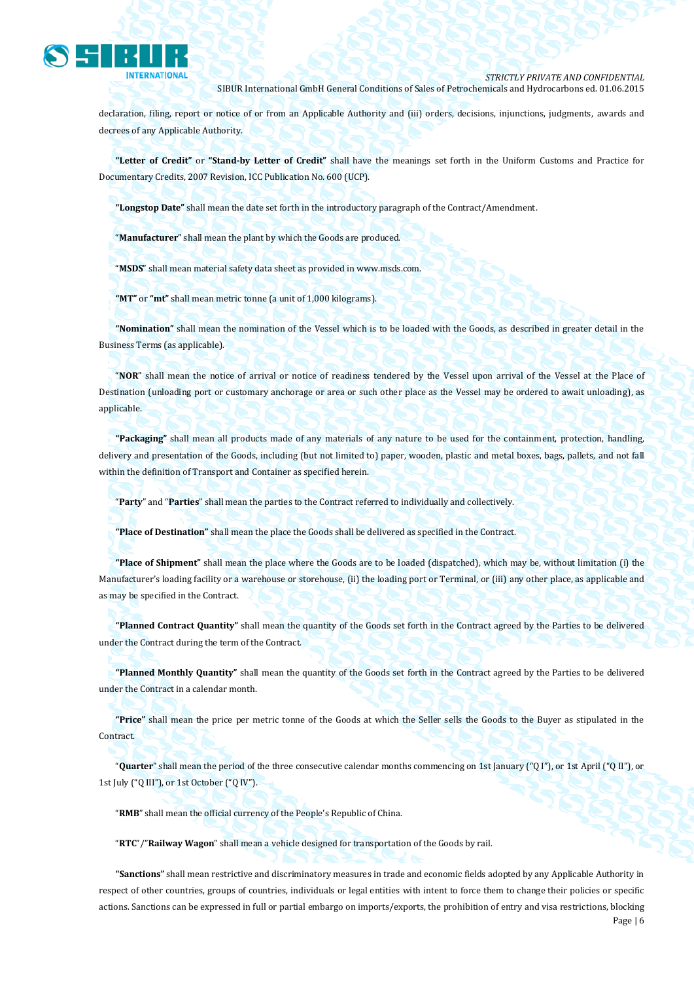

declaration, filing, report or notice of or from an Applicable Authority and (iii) orders, decisions, injunctions, judgments, awards and decrees of any Applicable Authority.

**"Letter of Credit"** or **"Stand-by Letter of Credit"** shall have the meanings set forth in the Uniform Customs and Practice for Documentary Credits, 2007 Revision, ICC Publication No. 600 (UCP).

**"Longstop Date"** shall mean the date set forth in the introductory paragraph of the Contract/Amendment.

"**Manufacturer**" shall mean the plant by which the Goods are produced.

"**MSDS**" shall mean material safety data sheet as provided in www.msds.com.

**"MT"** or **"mt"** shall mean metric tonne (a unit of 1,000 kilograms).

**"Nomination"** shall mean the nomination of the Vessel which is to be loaded with the Goods, as described in greater detail in the Business Terms (as applicable).

"**NOR**" shall mean the notice of arrival or notice of readiness tendered by the Vessel upon arrival of the Vessel at the Place of Destination (unloading port or customary anchorage or area or such other place as the Vessel may be ordered to await unloading), as applicable.

**"Packaging"** shall mean all products made of any materials of any nature to be used for the containment, protection, handling, delivery and presentation of the Goods, including (but not limited to) paper, wooden, plastic and metal boxes, bags, pallets, and not fall within the definition of Transport and Container as specified herein.

"**Party**" and "**Parties**" shall mean the parties to the Contract referred to individually and collectively.

**"Place of Destination"** shall mean the place the Goods shall be delivered as specified in the Contract.

**"Place of Shipment"** shall mean the place where the Goods are to be loaded (dispatched), which may be, without limitation (i) the Manufacturer's loading facility or a warehouse or storehouse, (ii) the loading port or Terminal, or (iii) any other place, as applicable and as may be specified in the Contract.

**"Planned Contract Quantity"** shall mean the quantity of the Goods set forth in the Contract agreed by the Parties to be delivered under the Contract during the term of the Contract.

**"Planned Monthly Quantity"** shall mean the quantity of the Goods set forth in the Contract agreed by the Parties to be delivered under the Contract in a calendar month.

**"Price"** shall mean the price per metric tonne of the Goods at which the Seller sells the Goods to the Buyer as stipulated in the Contract.

"**Quarter**" shall mean the period of the three consecutive calendar months commencing on 1st January ("Q I"), or 1st April ("Q II"), or 1st July ("Q III"), or 1st October ("Q IV").

"**RMB**" shall mean the official currency of the People's Republic of China.

"**RTC**"/"**Railway Wagon**" shall mean a vehicle designed for transportation of the Goods by rail.

Page | 6 **"Sanctions"** shall mean restrictive and discriminatory measures in trade and economic fields adopted by any Applicable Authority in respect of other countries, groups of countries, individuals or legal entities with intent to force them to change their policies or specific actions. Sanctions can be expressed in full or partial embargo on imports/exports, the prohibition of entry and visa restrictions, blocking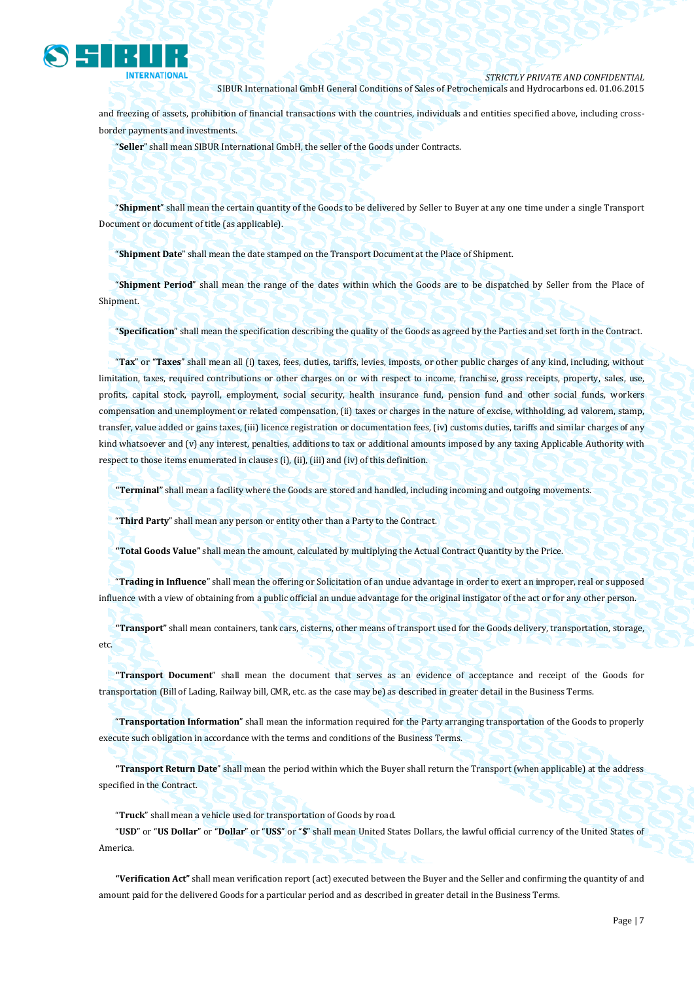

and freezing of assets, prohibition of financial transactions with the countries, individuals and entities specified above, including crossborder payments and investments.

"**Seller**" shall mean SIBUR International GmbH, the seller of the Goods under Contracts.

"**Shipment**" shall mean the certain quantity of the Goods to be delivered by Seller to Buyer at any one time under a single Transport Document or document of title (as applicable).

"**Shipment Date**" shall mean the date stamped on the Transport Document at the Place of Shipment.

"**Shipment Period**" shall mean the range of the dates within which the Goods are to be dispatched by Seller from the Place of Shipment.

"**Specification**" shall mean the specification describing the quality of the Goods as agreed by the Parties and set forth in the Contract.

"**Tax**" or "**Taxes**" shall mean all (i) taxes, fees, duties, tariffs, levies, imposts, or other public charges of any kind, including, without limitation, taxes, required contributions or other charges on or with respect to income, franchise, gross receipts, property, sales, use, profits, capital stock, payroll, employment, social security, health insurance fund, pension fund and other social funds, workers compensation and unemployment or related compensation, (ii) taxes or charges in the nature of excise, withholding, ad valorem, stamp, transfer, value added or gains taxes, (iii) licence registration or documentation fees, (iv) customs duties, tariffs and similar charges of any kind whatsoever and (v) any interest, penalties, additions to tax or additional amounts imposed by any taxing Applicable Authority with respect to those items enumerated in clauses (i), (ii), (iii) and (iv) of this definition.

**"Terminal"** shall mean a facility where the Goods are stored and handled, including incoming and outgoing movements.

"**Third Party**" shall mean any person or entity other than a Party to the Contract.

**"Total Goods Value"** shall mean the amount, calculated by multiplying the Actual Contract Quantity by the Price.

"**Trading in Influence**" shall mean the offering or Solicitation of an undue advantage in order to exert an improper, real or supposed influence with a view of obtaining from a public official an undue advantage for the original instigator of the act or for any other person.

**"Transport"** shall mean containers, tank cars, cisterns, other means of transport used for the Goods delivery, transportation, storage, etc.

**"Transport Document**" shall mean the document that serves as an evidence of acceptance and receipt of the Goods for transportation (Bill of Lading, Railway bill, CMR, etc. as the case may be) as described in greater detail in the Business Terms.

"**Transportation Information**" shall mean the information required for the Party arranging transportation of the Goods to properly execute such obligation in accordance with the terms and conditions of the Business Terms.

**"Transport Return Date**" shall mean the period within which the Buyer shall return the Transport (when applicable) at the address specified in the Contract.

"**Truck**" shall mean a vehicle used for transportation of Goods by road.

"**USD**" or "**US Dollar**" or "**Dollar**" or "**US\$**" or "**\$**" shall mean United States Dollars, the lawful official currency of the United States of America.

**"Verification Act"** shall mean verification report (act) executed between the Buyer and the Seller and confirming the quantity of and amount paid for the delivered Goods for a particular period and as described in greater detail in the Business Terms.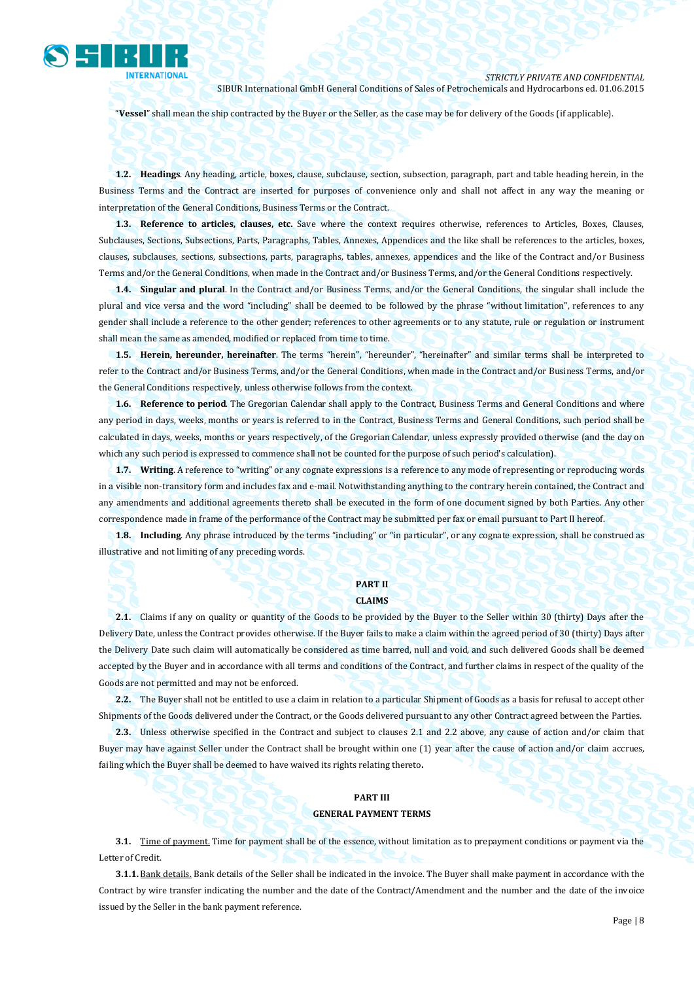

"**Vessel**" shall mean the ship contracted by the Buyer or the Seller, as the case may be for delivery of the Goods (if applicable).

**1.2. Headings**. Any heading, article, boxes, clause, subclause, section, subsection, paragraph, part and table heading herein, in the Business Terms and the Contract are inserted for purposes of convenience only and shall not affect in any way the meaning or interpretation of the General Conditions, Business Terms or the Contract.

**1.3. Reference to articles, clauses, etc.** Save where the context requires otherwise, references to Articles, Boxes, Clauses, Subclauses, Sections, Subsections, Parts, Paragraphs, Tables, Annexes, Appendices and the like shall be references to the articles, boxes, clauses, subclauses, sections, subsections, parts, paragraphs, tables, annexes, appendices and the like of the Contract and/or Business Terms and/or the General Conditions, when made in the Contract and/or Business Terms, and/or the General Conditions respectively.

**1.4. Singular and plural**. In the Contract and/or Business Terms, and/or the General Conditions, the singular shall include the plural and vice versa and the word "including" shall be deemed to be followed by the phrase "without limitation", references to any gender shall include a reference to the other gender; references to other agreements or to any statute, rule or regulation or instrument shall mean the same as amended, modified or replaced from time to time.

**1.5. Herein, hereunder, hereinafter**. The terms "herein", "hereunder", "hereinafter" and similar terms shall be interpreted to refer to the Contract and/or Business Terms, and/or the General Conditions, when made in the Contract and/or Business Terms, and/or the General Conditions respectively, unless otherwise follows from the context.

**1.6. Reference to period**. The Gregorian Calendar shall apply to the Contract, Business Terms and General Conditions and where any period in days, weeks, months or years is referred to in the Contract, Business Terms and General Conditions, such period shall be calculated in days, weeks, months or years respectively, of the Gregorian Calendar, unless expressly provided otherwise (and the day on which any such period is expressed to commence shall not be counted for the purpose of such period's calculation).

**1.7. Writing**. A reference to "writing" or any cognate expressions is a reference to any mode of representing or reproducing words in a visible non-transitory form and includes fax and e-mail. Notwithstanding anything to the contrary herein contained, the Contract and any amendments and additional agreements thereto shall be executed in the form of one document signed by both Parties. Any other correspondence made in frame of the performance of the Contract may be submitted per fax or email pursuant to Part II hereof.

**1.8. Including**. Any phrase introduced by the terms "including" or "in particular", or any cognate expression, shall be construed as illustrative and not limiting of any preceding words.

### **PART II CLAIMS**

**2.1.** Claims if any on quality or quantity of the Goods to be provided by the Buyer to the Seller within 30 (thirty) Days after the Delivery Date, unless the Contract provides otherwise. If the Buyer fails to make a claim within the agreed period of 30 (thirty) Days after the Delivery Date such claim will automatically be considered as time barred, null and void, and such delivered Goods shall be deemed accepted by the Buyer and in accordance with all terms and conditions of the Contract, and further claims in respect of the quality of the Goods are not permitted and may not be enforced.

**2.2.** The Buyer shall not be entitled to use a claim in relation to a particular Shipment of Goods as a basis for refusal to accept other Shipments of the Goods delivered under the Contract, or the Goods delivered pursuant to any other Contract agreed between the Parties.

**2.3.** Unless otherwise specified in the Contract and subject to clauses 2.1 and 2.2 above, any cause of action and/or claim that Buyer may have against Seller under the Contract shall be brought within one (1) year after the cause of action and/or claim accrues, failing which the Buyer shall be deemed to have waived its rights relating thereto**.**

### **PART III GENERAL PAYMENT TERMS**

**3.1.** Time of payment. Time for payment shall be of the essence, without limitation as to prepayment conditions or payment via the Letter of Credit.

**3.1.1.** Bank details. Bank details of the Seller shall be indicated in the invoice. The Buyer shall make payment in accordance with the Contract by wire transfer indicating the number and the date of the Contract/Amendment and the number and the date of the invoice issued by the Seller in the bank payment reference.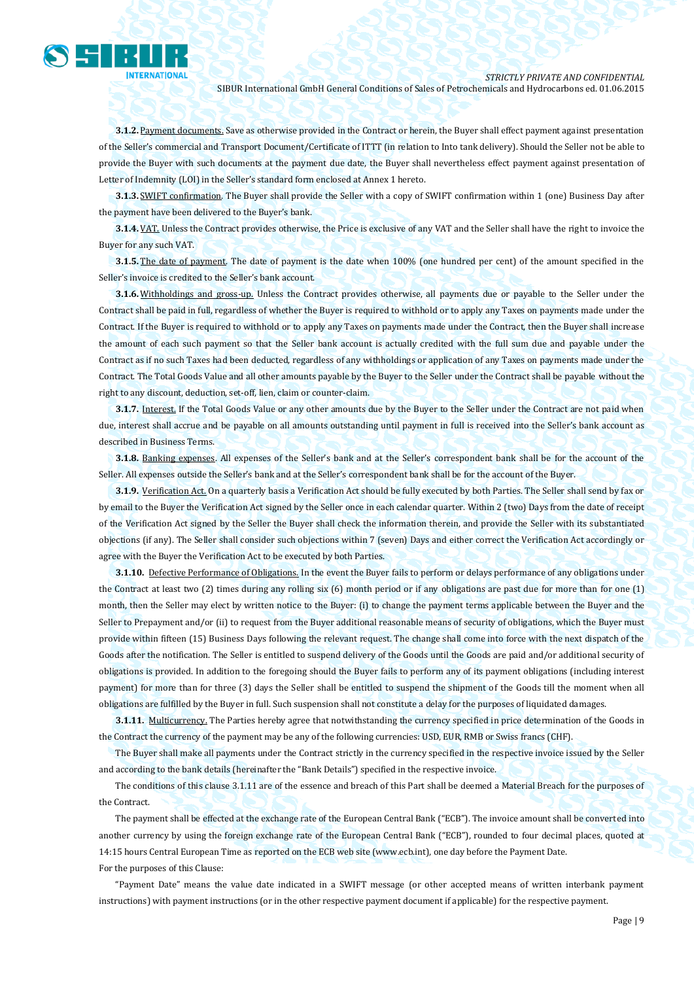

**3.1.2.** Payment documents. Save as otherwise provided in the Contract or herein, the Buyer shall effect payment against presentation of the Seller's commercial and Transport Document/Certificate of ITTT (in relation to Into tank delivery). Should the Seller not be able to provide the Buyer with such documents at the payment due date, the Buyer shall nevertheless effect payment against presentation of Letter of Indemnity (LOI) in the Seller's standard form enclosed at Annex 1 hereto.

**3.1.3.** SWIFT confirmation. The Buyer shall provide the Seller with a copy of SWIFT confirmation within 1 (one) Business Day after the payment have been delivered to the Buyer's bank.

**3.1.4.** VAT. Unless the Contract provides otherwise, the Price is exclusive of any VAT and the Seller shall have the right to invoice the Buyer for any such VAT.

**3.1.5.** The date of payment. The date of payment is the date when 100% (one hundred per cent) of the amount specified in the Seller's invoice is credited to the Seller's bank account.

**3.1.6.** Withholdings and gross-up. Unless the Contract provides otherwise, all payments due or payable to the Seller under the Contract shall be paid in full, regardless of whether the Buyer is required to withhold or to apply any Taxes on payments made under the Contract. If the Buyer is required to withhold or to apply any Taxes on payments made under the Contract, then the Buyer shall increase the amount of each such payment so that the Seller bank account is actually credited with the full sum due and payable under the Contract as if no such Taxes had been deducted, regardless of any withholdings or application of any Taxes on payments made under the Contract. The Total Goods Value and all other amounts payable by the Buyer to the Seller under the Contract shall be payable without the right to any discount, deduction, set-off, lien, claim or counter-claim.

**3.1.7.** Interest. If the Total Goods Value or any other amounts due by the Buyer to the Seller under the Contract are not paid when due, interest shall accrue and be payable on all amounts outstanding until payment in full is received into the Seller's bank account as described in Business Terms.

**3.1.8.** Banking expenses. All expenses of the Seller's bank and at the Seller's correspondent bank shall be for the account of the Seller. All expenses outside the Seller's bank and at the Seller's correspondent bank shall be for the account of the Buyer.

**3.1.9.** Verification Act. On a quarterly basis a Verification Act should be fully executed by both Parties. The Seller shall send by fax or by email to the Buyer the Verification Act signed by the Seller once in each calendar quarter. Within 2 (two) Days from the date of receipt of the Verification Act signed by the Seller the Buyer shall check the information therein, and provide the Seller with its substantiated objections (if any). The Seller shall consider such objections within 7 (seven) Days and either correct the Verification Act accordingly or agree with the Buyer the Verification Act to be executed by both Parties.

**3.1.10.** Defective Performance of Obligations. In the event the Buyer fails to perform or delays performance of any obligations under the Contract at least two (2) times during any rolling six (6) month period or if any obligations are past due for more than for one (1) month, then the Seller may elect by written notice to the Buyer: (i) to change the payment terms applicable between the Buyer and the Seller to Prepayment and/or (ii) to request from the Buyer additional reasonable means of security of obligations, which the Buyer must provide within fifteen (15) Business Days following the relevant request. The change shall come into force with the next dispatch of the Goods after the notification. The Seller is entitled to suspend delivery of the Goods until the Goods are paid and/or additional security of obligations is provided. In addition to the foregoing should the Buyer fails to perform any of its payment obligations (including interest payment) for more than for three (3) days the Seller shall be entitled to suspend the shipment of the Goods till the moment when all obligations are fulfilled by the Buyer in full. Such suspension shall not constitute a delay for the purposes of liquidated damages.

**3.1.11.** Multicurrency. The Parties hereby agree that notwithstanding the currency specified in price determination of the Goods in the Contract the currency of the payment may be any of the following currencies: USD, EUR, RMB or Swiss francs (CHF).

The Buyer shall make all payments under the Contract strictly in the currency specified in the respective invoice issued by the Seller and according to the bank details (hereinafter the "Bank Details") specified in the respective invoice.

The conditions of this clause 3.1.11 are of the essence and breach of this Part shall be deemed a Material Breach for the purposes of the Contract.

The payment shall be effected at the exchange rate of the European Central Bank ("ECB"). The invoice amount shall be converted into another currency by using the foreign exchange rate of the European Central Bank ("ECB"), rounded to four decimal places, quoted at 14:15 hours Central European Time as reported on the ECB web site (www.ecb.int), one day before the Payment Date. For the purposes of this Clause:

"Payment Date" means the value date indicated in a SWIFT message (or other accepted means of written interbank payment instructions) with payment instructions (or in the other respective payment document if applicable) for the respective payment.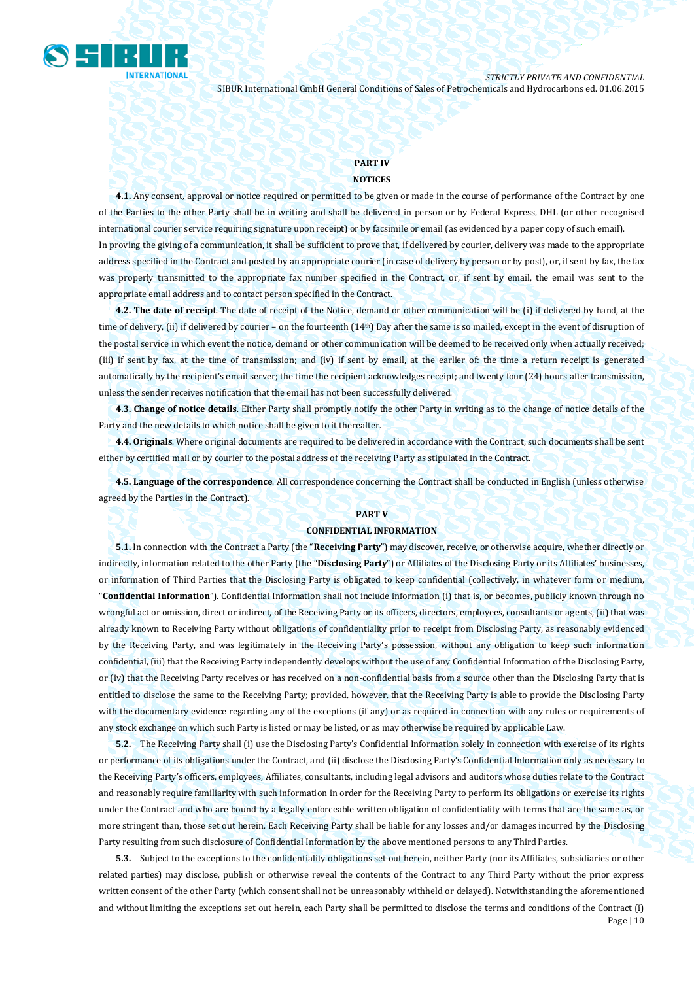

## **PART IV**

#### **NOTICES**

**4.1.** Any consent, approval or notice required or permitted to be given or made in the course of performance of the Contract by one of the Parties to the other Party shall be in writing and shall be delivered in person or by Federal Express, DHL (or other recognised international courier service requiring signature upon receipt) or by facsimile or email (as evidenced by a paper copy of such email). In proving the giving of a communication, it shall be sufficient to prove that, if delivered by courier, delivery was made to the appropriate address specified in the Contract and posted by an appropriate courier (in case of delivery by person or by post), or, if sent by fax, the fax was properly transmitted to the appropriate fax number specified in the Contract, or, if sent by email, the email was sent to the appropriate email address and to contact person specified in the Contract.

**4.2. The date of receipt**. The date of receipt of the Notice, demand or other communication will be (i) if delivered by hand, at the time of delivery, (ii) if delivered by courier – on the fourteenth (14<sup>th</sup>) Day after the same is so mailed, except in the event of disruption of the postal service in which event the notice, demand or other communication will be deemed to be received only when actually received; (iii) if sent by fax, at the time of transmission; and (iv) if sent by email, at the earlier of: the time a return receipt is generated automatically by the recipient's email server; the time the recipient acknowledges receipt; and twenty four (24) hours after transmission, unless the sender receives notification that the email has not been successfully delivered.

**4.3. Change of notice details**. Either Party shall promptly notify the other Party in writing as to the change of notice details of the Party and the new details to which notice shall be given to it thereafter.

**4.4. Originals**. Where original documents are required to be delivered in accordance with the Contract, such documents shall be sent either by certified mail or by courier to the postal address of the receiving Party as stipulated in the Contract.

**4.5. Language of the correspondence**. All correspondence concerning the Contract shall be conducted in English (unless otherwise agreed by the Parties in the Contract).

#### **PART V**

#### **CONFIDENTIAL INFORMATION**

**5.1.** In connection with the Contract a Party (the "**Receiving Party**") may discover, receive, or otherwise acquire, whether directly or indirectly, information related to the other Party (the "**Disclosing Party**") or Affiliates of the Disclosing Party or its Affiliates' businesses, or information of Third Parties that the Disclosing Party is obligated to keep confidential (collectively, in whatever form or medium, "**Confidential Information**"). Confidential Information shall not include information (i) that is, or becomes, publicly known through no wrongful act or omission, direct or indirect, of the Receiving Party or its officers, directors, employees, consultants or agents, (ii) that was already known to Receiving Party without obligations of confidentiality prior to receipt from Disclosing Party, as reasonably evidenced by the Receiving Party, and was legitimately in the Receiving Party's possession, without any obligation to keep such information confidential, (iii) that the Receiving Party independently develops without the use of any Confidential Information of the Disclosing Party, or (iv) that the Receiving Party receives or has received on a non-confidential basis from a source other than the Disclosing Party that is entitled to disclose the same to the Receiving Party; provided, however, that the Receiving Party is able to provide the Disclosing Party with the documentary evidence regarding any of the exceptions (if any) or as required in connection with any rules or requirements of any stock exchange on which such Party is listed or may be listed, or as may otherwise be required by applicable Law.

**5.2.** The Receiving Party shall (i) use the Disclosing Party's Confidential Information solely in connection with exercise of its rights or performance of its obligations under the Contract, and (ii) disclose the Disclosing Party's Confidential Information only as necessary to the Receiving Party's officers, employees, Affiliates, consultants, including legal advisors and auditors whose duties relate to the Contract and reasonably require familiarity with such information in order for the Receiving Party to perform its obligations or exercise its rights under the Contract and who are bound by a legally enforceable written obligation of confidentiality with terms that are the same as, or more stringent than, those set out herein. Each Receiving Party shall be liable for any losses and/or damages incurred by the Disclosing Party resulting from such disclosure of Confidential Information by the above mentioned persons to any Third Parties.

Page | 10 **5.3.** Subject to the exceptions to the confidentiality obligations set out herein, neither Party (nor its Affiliates, subsidiaries or other related parties) may disclose, publish or otherwise reveal the contents of the Contract to any Third Party without the prior express written consent of the other Party (which consent shall not be unreasonably withheld or delayed). Notwithstanding the aforementioned and without limiting the exceptions set out herein, each Party shall be permitted to disclose the terms and conditions of the Contract (i)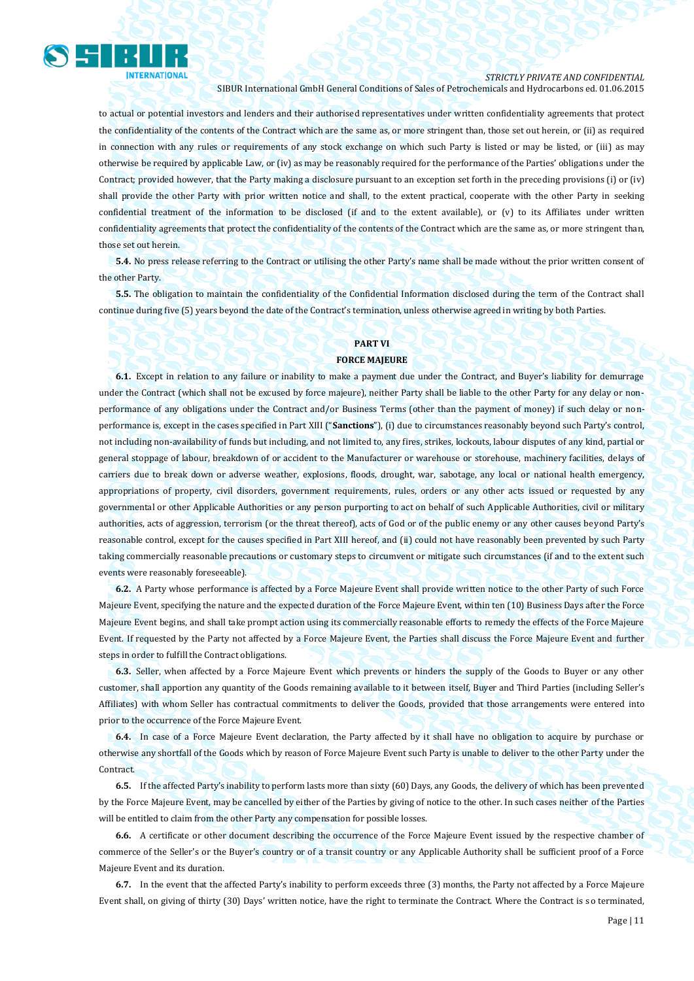

#### *STRICTLY PRIVATE AND CONFIDENTIAL*

SIBUR International GmbH General Conditions of Sales of Petrochemicals and Hydrocarbons ed. 01.06.2015

to actual or potential investors and lenders and their authorised representatives under written confidentiality agreements that protect the confidentiality of the contents of the Contract which are the same as, or more stringent than, those set out herein, or (ii) as required in connection with any rules or requirements of any stock exchange on which such Party is listed or may be listed, or (iii) as may otherwise be required by applicable Law, or (iv) as may be reasonably required for the performance of the Parties' obligations under the Contract; provided however, that the Party making a disclosure pursuant to an exception set forth in the preceding provisions (i) or (iv) shall provide the other Party with prior written notice and shall, to the extent practical, cooperate with the other Party in seeking confidential treatment of the information to be disclosed (if and to the extent available), or (v) to its Affiliates under written confidentiality agreements that protect the confidentiality of the contents of the Contract which are the same as, or more stringent than, those set out herein.

**5.4.** No press release referring to the Contract or utilising the other Party's name shall be made without the prior written consent of the other Party.

**5.5.** The obligation to maintain the confidentiality of the Confidential Information disclosed during the term of the Contract shall continue during five (5) years beyond the date of the Contract's termination, unless otherwise agreed in writing by both Parties.

#### **PART VI**

#### **FORCE MAJEURE**

**6.1.** Except in relation to any failure or inability to make a payment due under the Contract, and Buyer's liability for demurrage under the Contract (which shall not be excused by force majeure), neither Party shall be liable to the other Party for any delay or nonperformance of any obligations under the Contract and/or Business Terms (other than the payment of money) if such delay or nonperformance is, except in the cases specified in Part XIII ("**Sanctions**"), (i) due to circumstances reasonably beyond such Party's control, not including non-availability of funds but including, and not limited to, any fires, strikes, lockouts, labour disputes of any kind, partial or general stoppage of labour, breakdown of or accident to the Manufacturer or warehouse or storehouse, machinery facilities, delays of carriers due to break down or adverse weather, explosions, floods, drought, war, sabotage, any local or national health emergency, appropriations of property, civil disorders, government requirements, rules, orders or any other acts issued or requested by any governmental or other Applicable Authorities or any person purporting to act on behalf of such Applicable Authorities, civil or military authorities, acts of aggression, terrorism (or the threat thereof), acts of God or of the public enemy or any other causes beyond Party's reasonable control, except for the causes specified in Part XIII hereof, and (ii) could not have reasonably been prevented by such Party taking commercially reasonable precautions or customary steps to circumvent or mitigate such circumstances (if and to the extent such events were reasonably foreseeable).

**6.2.** A Party whose performance is affected by a Force Majeure Event shall provide written notice to the other Party of such Force Majeure Event, specifying the nature and the expected duration of the Force Majeure Event, within ten (10) Business Days after the Force Majeure Event begins, and shall take prompt action using its commercially reasonable efforts to remedy the effects of the Force Majeure Event. If requested by the Party not affected by a Force Majeure Event, the Parties shall discuss the Force Majeure Event and further steps in order to fulfill the Contract obligations.

**6.3.** Seller, when affected by a Force Majeure Event which prevents or hinders the supply of the Goods to Buyer or any other customer, shall apportion any quantity of the Goods remaining available to it between itself, Buyer and Third Parties (including Seller's Affiliates) with whom Seller has contractual commitments to deliver the Goods, provided that those arrangements were entered into prior to the occurrence of the Force Majeure Event.

**6.4.** In case of a Force Majeure Event declaration, the Party affected by it shall have no obligation to acquire by purchase or otherwise any shortfall of the Goods which by reason of Force Majeure Event such Party is unable to deliver to the other Party under the Contract.

**6.5.** If the affected Party's inability to perform lasts more than sixty (60) Days, any Goods, the delivery of which has been prevented by the Force Majeure Event, may be cancelled by either of the Parties by giving of notice to the other. In such cases neither of the Parties will be entitled to claim from the other Party any compensation for possible losses.

**6.6.** A certificate or other document describing the occurrence of the Force Majeure Event issued by the respective chamber of commerce of the Seller's or the Buyer's country or of a transit country or any Applicable Authority shall be sufficient proof of a Force Majeure Event and its duration.

**6.7.** In the event that the affected Party's inability to perform exceeds three (3) months, the Party not affected by a Force Majeure Event shall, on giving of thirty (30) Days' written notice, have the right to terminate the Contract. Where the Contract is so terminated,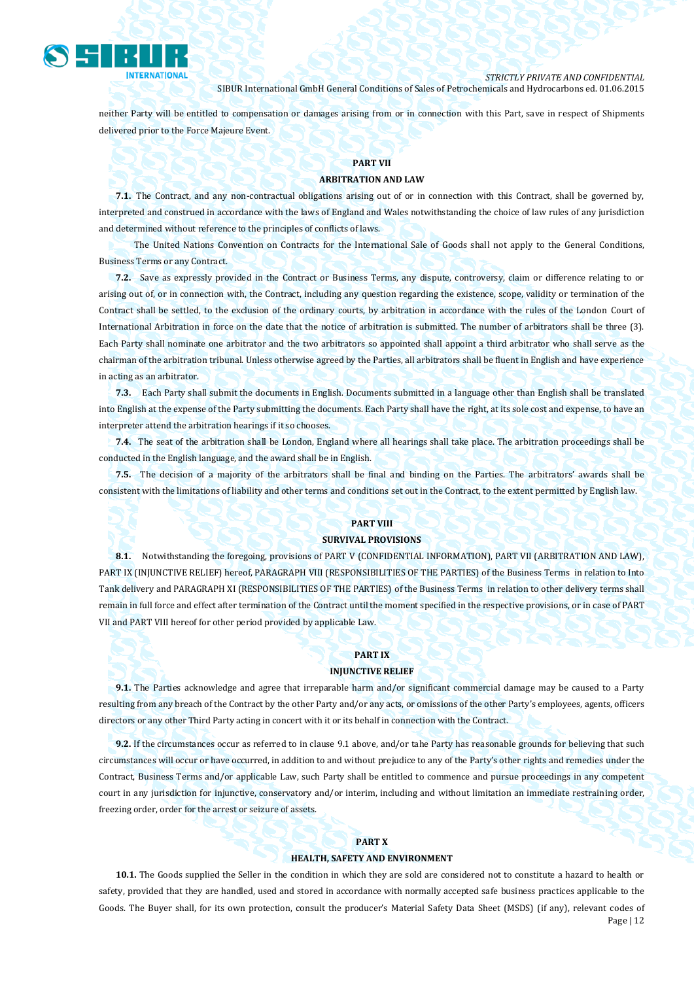

neither Party will be entitled to compensation or damages arising from or in connection with this Part, save in respect of Shipments delivered prior to the Force Majeure Event.

#### **PART VII**

#### **ARBITRATION AND LAW**

**7.1.** The Contract, and any non-contractual obligations arising out of or in connection with this Contract, shall be governed by, interpreted and construed in accordance with the laws of England and Wales notwithstanding the choice of law rules of any jurisdiction and determined without reference to the principles of conflicts of laws.

The United Nations Convention on Contracts for the International Sale of Goods shall not apply to the General Conditions, Business Terms or any Contract.

**7.2.** Save as expressly provided in the Contract or Business Terms, any dispute, controversy, claim or difference relating to or arising out of, or in connection with, the Contract, including any question regarding the existence, scope, validity or termination of the Contract shall be settled, to the exclusion of the ordinary courts, by arbitration in accordance with the rules of the London Court of International Arbitration in force on the date that the notice of arbitration is submitted. The number of arbitrators shall be three (3). Each Party shall nominate one arbitrator and the two arbitrators so appointed shall appoint a third arbitrator who shall serve as the chairman of the arbitration tribunal. Unless otherwise agreed by the Parties, all arbitrators shall be fluent in English and have experience in acting as an arbitrator.

**7.3.** Each Party shall submit the documents in English. Documents submitted in a language other than English shall be translated into English at the expense of the Party submitting the documents. Each Party shall have the right, at its sole cost and expense, to have an interpreter attend the arbitration hearings if it so chooses.

**7.4.** The seat of the arbitration shall be London, England where all hearings shall take place. The arbitration proceedings shall be conducted in the English language, and the award shall be in English.

**7.5.** The decision of a majority of the arbitrators shall be final and binding on the Parties. The arbitrators' awards shall be consistent with the limitations of liability and other terms and conditions set out in the Contract, to the extent permitted by English law.

#### **PART VIII**

#### **SURVIVAL PROVISIONS**

**8.1.** Notwithstanding the foregoing, provisions of PART V (CONFIDENTIAL INFORMATION), PART VII (ARBITRATION AND LAW), PART IX (INJUNCTIVE RELIEF) hereof, PARAGRAPH VIII (RESPONSIBILITIES OF THE PARTIES) of the Business Terms in relation to Into Tank delivery and PARAGRAPH XI (RESPONSIBILITIES OF THE PARTIES) of the Business Terms in relation to other delivery terms shall remain in full force and effect after termination of the Contract until the moment specified in the respective provisions, or in case of PART VII and PART VIII hereof for other period provided by applicable Law.

### **PART IX**

#### **INJUNCTIVE RELIEF**

**9.1.** The Parties acknowledge and agree that irreparable harm and/or significant commercial damage may be caused to a Party resulting from any breach of the Contract by the other Party and/or any acts, or omissions of the other Party's employees, agents, officers directors or any other Third Party acting in concert with it or its behalf in connection with the Contract.

**9.2.** If the circumstances occur as referred to in clause 9.1 above, and/or tahe Party has reasonable grounds for believing that such circumstances will occur or have occurred, in addition to and without prejudice to any of the Party's other rights and remedies under the Contract, Business Terms and/or applicable Law, such Party shall be entitled to commence and pursue proceedings in any competent court in any jurisdiction for injunctive, conservatory and/or interim, including and without limitation an immediate restraining order, freezing order, order for the arrest or seizure of assets.

#### **PART X**

#### **HEALTH, SAFETY AND ENVIRONMENT**

Page | 12 **10.1.** The Goods supplied the Seller in the condition in which they are sold are considered not to constitute a hazard to health or safety, provided that they are handled, used and stored in accordance with normally accepted safe business practices applicable to the Goods. The Buyer shall, for its own protection, consult the producer's Material Safety Data Sheet (MSDS) (if any), relevant codes of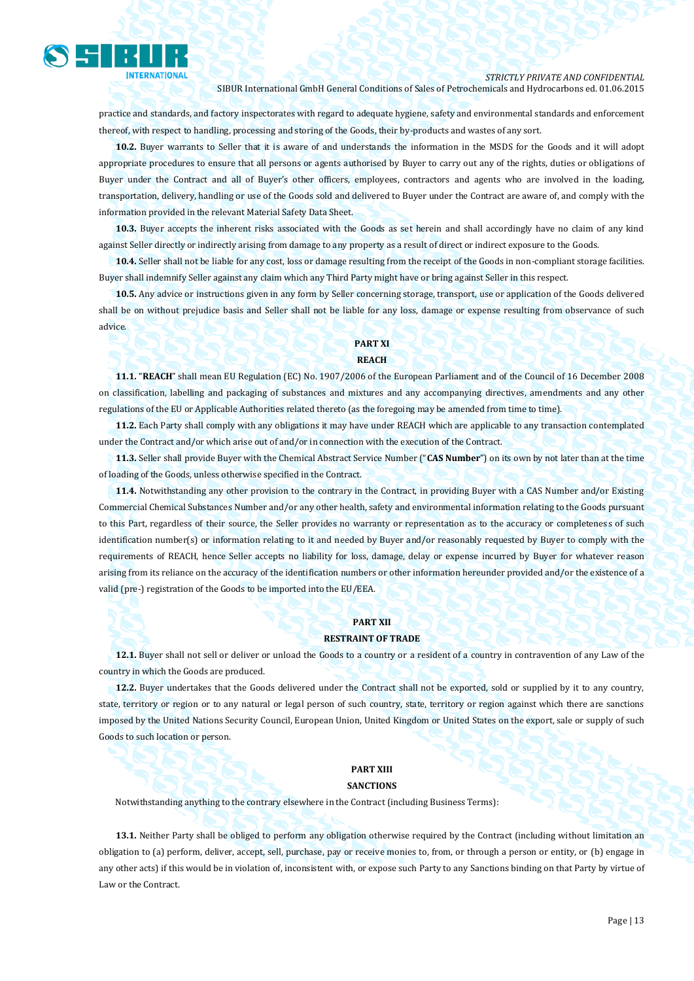

practice and standards, and factory inspectorates with regard to adequate hygiene, safety and environmental standards and enforcement thereof, with respect to handling, processing and storing of the Goods, their by-products and wastes of any sort.

**10.2.** Buyer warrants to Seller that it is aware of and understands the information in the MSDS for the Goods and it will adopt appropriate procedures to ensure that all persons or agents authorised by Buyer to carry out any of the rights, duties or obligations of Buyer under the Contract and all of Buyer's other officers, employees, contractors and agents who are involved in the loading, transportation, delivery, handling or use of the Goods sold and delivered to Buyer under the Contract are aware of, and comply with the information provided in the relevant Material Safety Data Sheet.

**10.3.** Buyer accepts the inherent risks associated with the Goods as set herein and shall accordingly have no claim of any kind against Seller directly or indirectly arising from damage to any property as a result of direct or indirect exposure to the Goods.

**10.4.** Seller shall not be liable for any cost, loss or damage resulting from the receipt of the Goods in non-compliant storage facilities. Buyer shall indemnify Seller against any claim which any Third Party might have or bring against Seller in this respect.

**10.5.** Any advice or instructions given in any form by Seller concerning storage, transport, use or application of the Goods delivered shall be on without prejudice basis and Seller shall not be liable for any loss, damage or expense resulting from observance of such advice.

## **PART XI**

### **REACH**

**11.1.** "**REACH**" shall mean EU Regulation (EC) No. 1907/2006 of the European Parliament and of the Council of 16 December 2008 on classification, labelling and packaging of substances and mixtures and any accompanying directives, amendments and any other regulations of the EU or Applicable Authorities related thereto (as the foregoing may be amended from time to time).

**11.2.** Each Party shall comply with any obligations it may have under REACH which are applicable to any transaction contemplated under the Contract and/or which arise out of and/or in connection with the execution of the Contract.

**11.3.** Seller shall provide Buyer with the Chemical Abstract Service Number ("**CAS Number**") on its own by not later than at the time of loading of the Goods, unless otherwise specified in the Contract.

**11.4.** Notwithstanding any other provision to the contrary in the Contract, in providing Buyer with a CAS Number and/or Existing Commercial Chemical Substances Number and/or any other health, safety and environmental information relating to the Goods pursuant to this Part, regardless of their source, the Seller provides no warranty or representation as to the accuracy or completeness of such identification number(s) or information relating to it and needed by Buyer and/or reasonably requested by Buyer to comply with the requirements of REACH, hence Seller accepts no liability for loss, damage, delay or expense incurred by Buyer for whatever reason arising from its reliance on the accuracy of the identification numbers or other information hereunder provided and/or the existence of a valid (pre-) registration of the Goods to be imported into the EU/EEA.

#### **PART XII**

#### **RESTRAINT OF TRADE**

**12.1.** Buyer shall not sell or deliver or unload the Goods to a country or a resident of a country in contravention of any Law of the country in which the Goods are produced.

**12.2.** Buyer undertakes that the Goods delivered under the Contract shall not be exported, sold or supplied by it to any country, state, territory or region or to any natural or legal person of such country, state, territory or region against which there are sanctions imposed by the United Nations Security Council, European Union, United Kingdom or United States on the export, sale or supply of such Goods to such location or person.

## **PART XIII**

#### **SANCTIONS**

Notwithstanding anything to the contrary elsewhere in the Contract (including Business Terms):

**13.1.** Neither Party shall be obliged to perform any obligation otherwise required by the Contract (including without limitation an obligation to (a) perform, deliver, accept, sell, purchase, pay or receive monies to, from, or through a person or entity, or (b) engage in any other acts) if this would be in violation of, inconsistent with, or expose such Party to any Sanctions binding on that Party by virtue of Law or the Contract.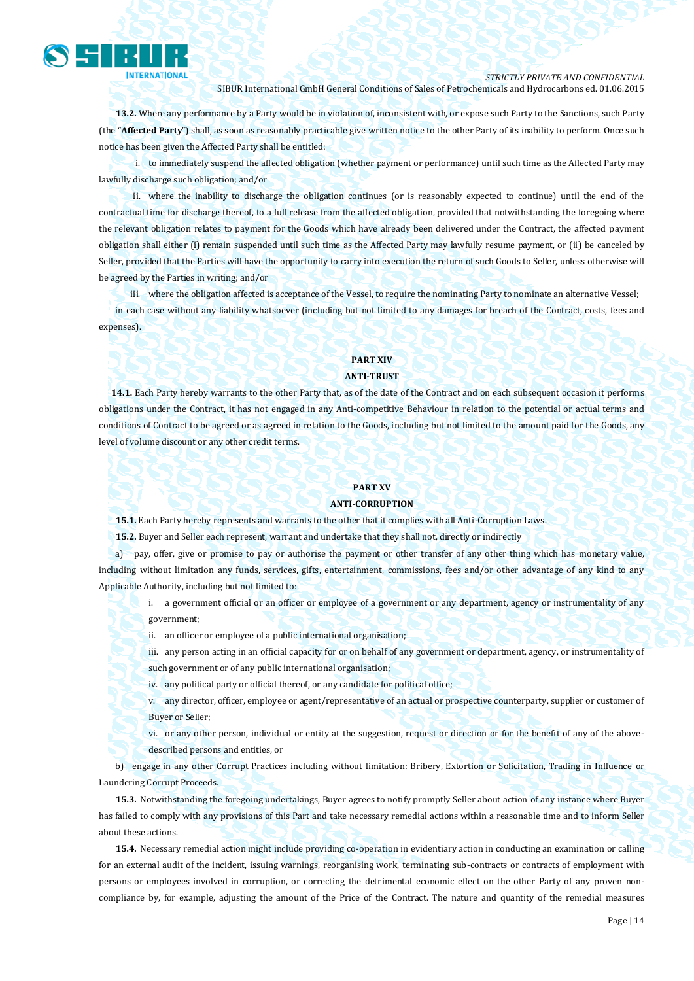

**13.2.** Where any performance by a Party would be in violation of, inconsistent with, or expose such Party to the Sanctions, such Party (the "**Affected Party**") shall, as soon as reasonably practicable give written notice to the other Party of its inability to perform. Once such notice has been given the Affected Party shall be entitled:

i. to immediately suspend the affected obligation (whether payment or performance) until such time as the Affected Party may lawfully discharge such obligation; and/or

ii. where the inability to discharge the obligation continues (or is reasonably expected to continue) until the end of the contractual time for discharge thereof, to a full release from the affected obligation, provided that notwithstanding the foregoing where the relevant obligation relates to payment for the Goods which have already been delivered under the Contract, the affected payment obligation shall either (i) remain suspended until such time as the Affected Party may lawfully resume payment, or (ii) be canceled by Seller, provided that the Parties will have the opportunity to carry into execution the return of such Goods to Seller, unless otherwise will be agreed by the Parties in writing; and/or

iii. where the obligation affected is acceptance of the Vessel, to require the nominating Party to nominate an alternative Vessel; in each case without any liability whatsoever (including but not limited to any damages for breach of the Contract, costs, fees and expenses).

### **PART XIV ANTI-TRUST**

**14.1.** Each Party hereby warrants to the other Party that, as of the date of the Contract and on each subsequent occasion it performs obligations under the Contract, it has not engaged in any Anti-competitive Behaviour in relation to the potential or actual terms and conditions of Contract to be agreed or as agreed in relation to the Goods, including but not limited to the amount paid for the Goods, any level of volume discount or any other credit terms.

#### **PART XV**

#### **ANTI-CORRUPTION**

**15.1.** Each Party hereby represents and warrants to the other that it complies with all Anti-Corruption Laws.

**15.2.** Buyer and Seller each represent, warrant and undertake that they shall not, directly or indirectly

a) pay, offer, give or promise to pay or authorise the payment or other transfer of any other thing which has monetary value, including without limitation any funds, services, gifts, entertainment, commissions, fees and/or other advantage of any kind to any Applicable Authority, including but not limited to:

i. a government official or an officer or employee of a government or any department, agency or instrumentality of any government;

- ii. an officer or employee of a public international organisation;
- iii. any person acting in an official capacity for or on behalf of any government or department, agency, or instrumentality of such government or of any public international organisation;
- iv. any political party or official thereof, or any candidate for political office;
- v. any director, officer, employee or agent/representative of an actual or prospective counterparty, supplier or customer of Buyer or Seller;

vi. or any other person, individual or entity at the suggestion, request or direction or for the benefit of any of the abovedescribed persons and entities, or

b) engage in any other Corrupt Practices including without limitation: Bribery, Extortion or Solicitation, Trading in Influence or Laundering Corrupt Proceeds.

**15.3.** Notwithstanding the foregoing undertakings, Buyer agrees to notify promptly Seller about action of any instance where Buyer has failed to comply with any provisions of this Part and take necessary remedial actions within a reasonable time and to inform Seller about these actions.

**15.4.** Necessary remedial action might include providing co-operation in evidentiary action in conducting an examination or calling for an external audit of the incident, issuing warnings, reorganising work, terminating sub-contracts or contracts of employment with persons or employees involved in corruption, or correcting the detrimental economic effect on the other Party of any proven noncompliance by, for example, adjusting the amount of the Price of the Contract. The nature and quantity of the remedial measures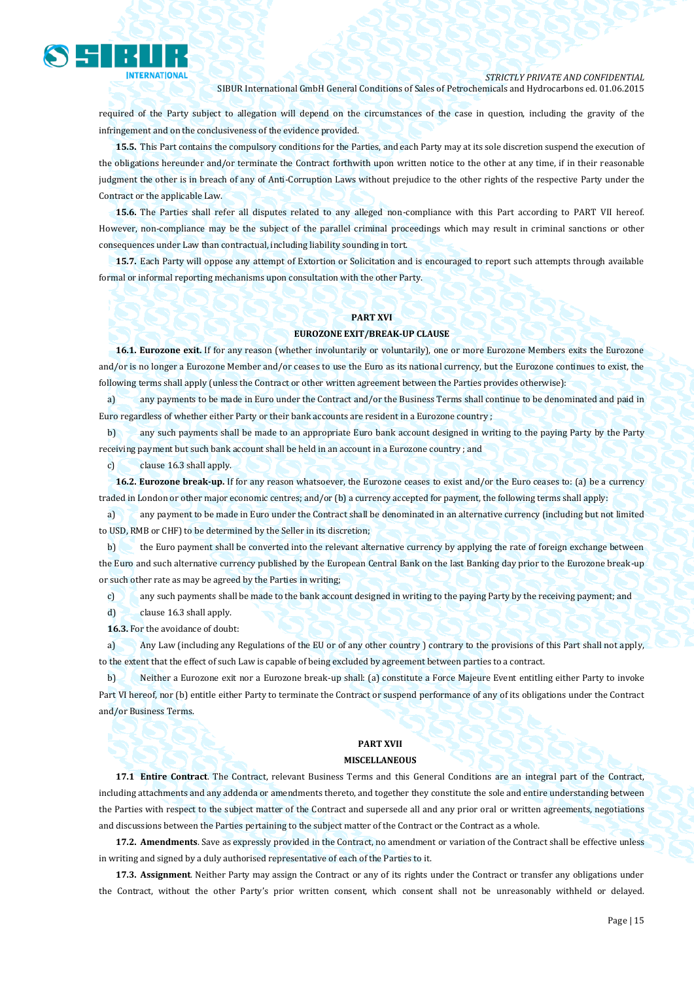

required of the Party subject to allegation will depend on the circumstances of the case in question, including the gravity of the infringement and on the conclusiveness of the evidence provided.

**15.5.** This Part contains the compulsory conditions for the Parties, and each Party may at its sole discretion suspend the execution of the obligations hereunder and/or terminate the Contract forthwith upon written notice to the other at any time, if in their reasonable judgment the other is in breach of any of Anti-Corruption Laws without prejudice to the other rights of the respective Party under the Contract or the applicable Law.

**15.6.** The Parties shall refer all disputes related to any alleged non-compliance with this Part according to PART VII hereof. However, non-compliance may be the subject of the parallel criminal proceedings which may result in criminal sanctions or other consequences under Law than contractual, including liability sounding in tort.

**15.7.** Each Party will oppose any attempt of Extortion or Solicitation and is encouraged to report such attempts through available formal or informal reporting mechanisms upon consultation with the other Party.

#### **PART XVI**

#### **EUROZONE EXIT/BREAK-UP CLAUSE**

**16.1. Eurozone exit.** If for any reason (whether involuntarily or voluntarily), one or more Eurozone Members exits the Eurozone and/or is no longer a Eurozone Member and/or ceases to use the Euro as its national currency, but the Eurozone continues to exist, the following terms shall apply (unless the Contract or other written agreement between the Parties provides otherwise):

a) any payments to be made in Euro under the Contract and/or the Business Terms shall continue to be denominated and paid in Euro regardless of whether either Party or their bank accounts are resident in a Eurozone country ;

b) any such payments shall be made to an appropriate Euro bank account designed in writing to the paying Party by the Party receiving payment but such bank account shall be held in an account in a Eurozone country ; and

c) clause 16.3 shall apply.

**16.2. Eurozone break-up.** If for any reason whatsoever, the Eurozone ceases to exist and/or the Euro ceases to: (a) be a currency traded in London or other major economic centres; and/or (b) a currency accepted for payment, the following terms shall apply:

a) any payment to be made in Euro under the Contract shall be denominated in an alternative currency (including but not limited to USD, RMB or CHF) to be determined by the Seller in its discretion;

b) the Euro payment shall be converted into the relevant alternative currency by applying the rate of foreign exchange between the Euro and such alternative currency published by the European Central Bank on the last Banking day prior to the Eurozone break-up or such other rate as may be agreed by the Parties in writing;

c) any such payments shall be made to the bank account designed in writing to the paying Party by the receiving payment; and

d) clause 16.3 shall apply.

**16.3.** For the avoidance of doubt:

a) Any Law (including any Regulations of the EU or of any other country ) contrary to the provisions of this Part shall not apply, to the extent that the effect of such Law is capable of being excluded by agreement between parties to a contract.

b) Neither a Eurozone exit nor a Eurozone break-up shall: (a) constitute a Force Majeure Event entitling either Party to invoke Part VI hereof, nor (b) entitle either Party to terminate the Contract or suspend performance of any of its obligations under the Contract and/or Business Terms.

## **PART XVII**

## **MISCELLANEOUS**

**17.1 Entire Contract**. The Contract, relevant Business Terms and this General Conditions are an integral part of the Contract, including attachments and any addenda or amendments thereto, and together they constitute the sole and entire understanding between the Parties with respect to the subject matter of the Contract and supersede all and any prior oral or written agreements, negotiations and discussions between the Parties pertaining to the subject matter of the Contract or the Contract as a whole.

**17.2. Amendments**. Save as expressly provided in the Contract, no amendment or variation of the Contract shall be effective unless in writing and signed by a duly authorised representative of each of the Parties to it.

**17.3. Assignment**. Neither Party may assign the Contract or any of its rights under the Contract or transfer any obligations under the Contract, without the other Party's prior written consent, which consent shall not be unreasonably withheld or delayed.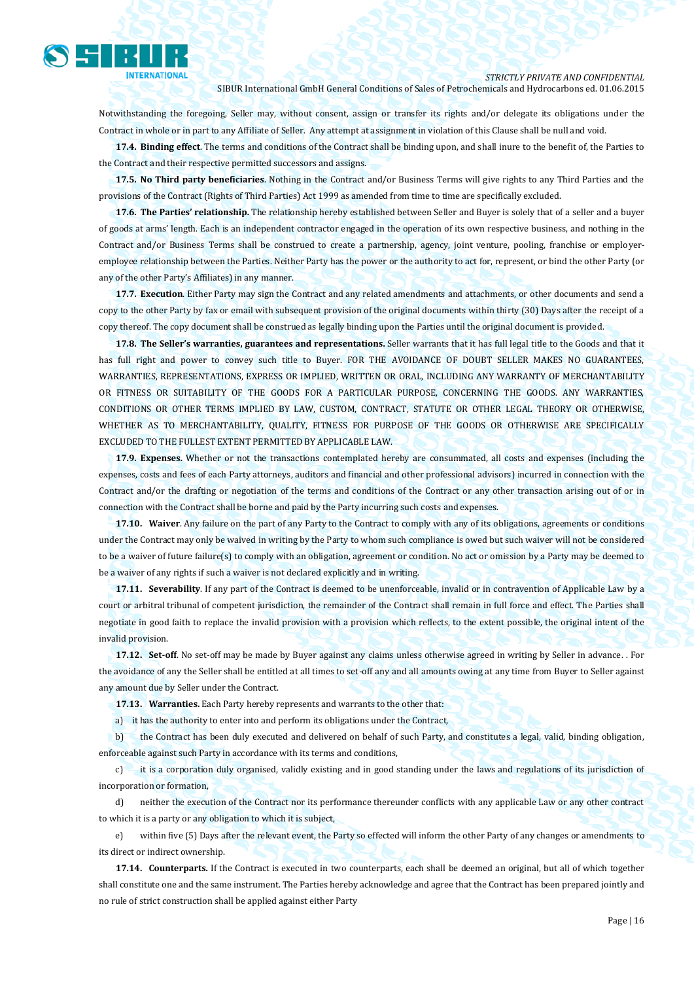

Notwithstanding the foregoing, Seller may, without consent, assign or transfer its rights and/or delegate its obligations under the Contract in whole or in part to any Affiliate of Seller. Any attempt at assignment in violation of this Clause shall be null and void.

**17.4. Binding effect**. The terms and conditions of the Contract shall be binding upon, and shall inure to the benefit of, the Parties to the Contract and their respective permitted successors and assigns.

**17.5. No Third party beneficiaries**. Nothing in the Contract and/or Business Terms will give rights to any Third Parties and the provisions of the Contract (Rights of Third Parties) Act 1999 as amended from time to time are specifically excluded.

**17.6. The Parties' relationship.** The relationship hereby established between Seller and Buyer is solely that of a seller and a buyer of goods at arms' length. Each is an independent contractor engaged in the operation of its own respective business, and nothing in the Contract and/or Business Terms shall be construed to create a partnership, agency, joint venture, pooling, franchise or employeremployee relationship between the Parties. Neither Party has the power or the authority to act for, represent, or bind the other Party (or any of the other Party's Affiliates) in any manner.

**17.7. Execution**. Either Party may sign the Contract and any related amendments and attachments, or other documents and send a copy to the other Party by fax or email with subsequent provision of the original documents within thirty (30) Days after the receipt of a copy thereof. The copy document shall be construed as legally binding upon the Parties until the original document is provided.

**17.8. The Seller's warranties, guarantees and representations.** Seller warrants that it has full legal title to the Goods and that it has full right and power to convey such title to Buyer. FOR THE AVOIDANCE OF DOUBT SELLER MAKES NO GUARANTEES, WARRANTIES, REPRESENTATIONS, EXPRESS OR IMPLIED, WRITTEN OR ORAL, INCLUDING ANY WARRANTY OF MERCHANTABILITY OR FITNESS OR SUITABILITY OF THE GOODS FOR A PARTICULAR PURPOSE, CONCERNING THE GOODS. ANY WARRANTIES, CONDITIONS OR OTHER TERMS IMPLIED BY LAW, CUSTOM, CONTRACT, STATUTE OR OTHER LEGAL THEORY OR OTHERWISE, WHETHER AS TO MERCHANTABILITY, QUALITY, FITNESS FOR PURPOSE OF THE GOODS OR OTHERWISE ARE SPECIFICALLY EXCLUDED TO THE FULLEST EXTENT PERMITTED BY APPLICABLE LAW.

**17.9. Expenses.** Whether or not the transactions contemplated hereby are consummated, all costs and expenses (including the expenses, costs and fees of each Party attorneys, auditors and financial and other professional advisors) incurred in connection with the Contract and/or the drafting or negotiation of the terms and conditions of the Contract or any other transaction arising out of or in connection with the Contract shall be borne and paid by the Party incurring such costs and expenses.

**17.10. Waiver**. Any failure on the part of any Party to the Contract to comply with any of its obligations, agreements or conditions under the Contract may only be waived in writing by the Party to whom such compliance is owed but such waiver will not be considered to be a waiver of future failure(s) to comply with an obligation, agreement or condition. No act or omission by a Party may be deemed to be a waiver of any rights if such a waiver is not declared explicitly and in writing.

**17.11. Severability**. If any part of the Contract is deemed to be unenforceable, invalid or in contravention of Applicable Law by a court or arbitral tribunal of competent jurisdiction, the remainder of the Contract shall remain in full force and effect. The Parties shall negotiate in good faith to replace the invalid provision with a provision which reflects, to the extent possible, the original intent of the invalid provision.

**17.12. Set-off**. No set-off may be made by Buyer against any claims unless otherwise agreed in writing by Seller in advance. . For the avoidance of any the Seller shall be entitled at all times to set-off any and all amounts owing at any time from Buyer to Seller against any amount due by Seller under the Contract.

**17.13. Warranties.** Each Party hereby represents and warrants to the other that:

a) it has the authority to enter into and perform its obligations under the Contract,

b) the Contract has been duly executed and delivered on behalf of such Party, and constitutes a legal, valid, binding obligation, enforceable against such Party in accordance with its terms and conditions,

c) it is a corporation duly organised, validly existing and in good standing under the laws and regulations of its jurisdiction of incorporation or formation,

d) neither the execution of the Contract nor its performance thereunder conflicts with any applicable Law or any other contract to which it is a party or any obligation to which it is subject,

e) within five (5) Days after the relevant event, the Party so effected will inform the other Party of any changes or amendments to its direct or indirect ownership.

**17.14. Counterparts.** If the Contract is executed in two counterparts, each shall be deemed an original, but all of which together shall constitute one and the same instrument. The Parties hereby acknowledge and agree that the Contract has been prepared jointly and no rule of strict construction shall be applied against either Party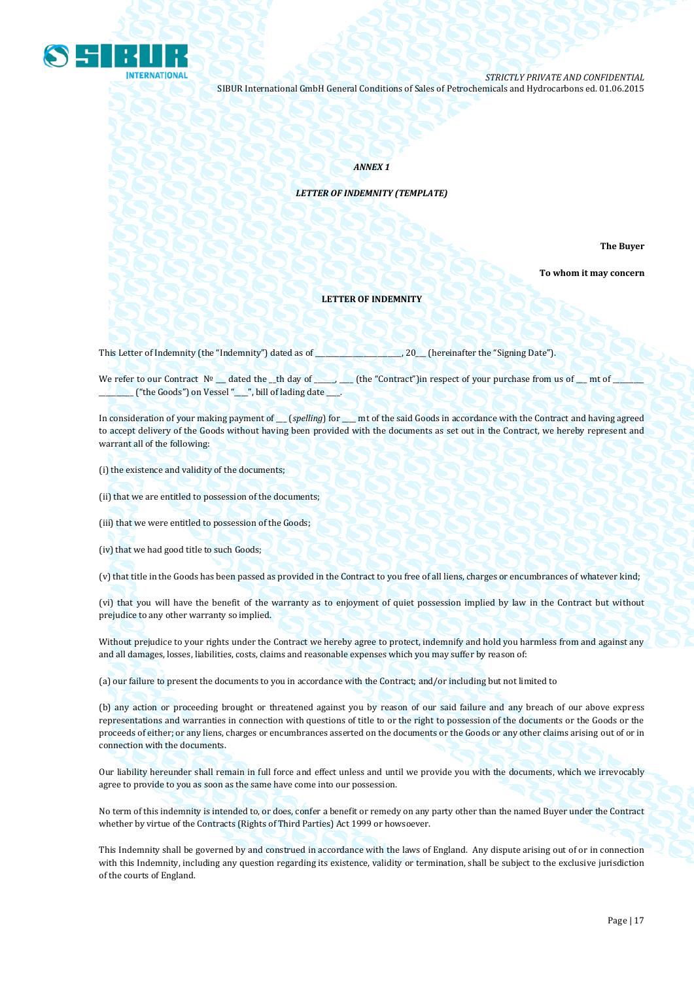

#### *ANNEX 1*

#### *LETTER OF INDEMNITY (TEMPLATE)*

**The Buyer** 

**To whom it may concern**

#### **LETTER OF INDEMNITY**

This Letter of Indemnity (the "Indemnity") dated as of \_\_\_\_\_\_\_\_\_\_\_\_\_\_\_\_\_\_, 20\_\_\_ (hereinafter the "Signing Date").

We refer to our Contract Nº \_\_\_ dated the \_\_th day of \_\_\_\_\_\_\_\_\_\_ (the "Contract")in respect of your purchase from us of \_\_\_ mt of \_ \_\_\_\_\_\_\_\_\_\_ ("the Goods") on Vessel "\_\_\_\_", bill of lading date \_\_\_\_.

In consideration of your making payment of \_\_\_ (*spelling*) for \_\_\_\_ mt of the said Goods in accordance with the Contract and having agreed to accept delivery of the Goods without having been provided with the documents as set out in the Contract, we hereby represent and warrant all of the following:

(i) the existence and validity of the documents;

(ii) that we are entitled to possession of the documents;

(iii) that we were entitled to possession of the Goods;

(iv) that we had good title to such Goods;

(v) that title in the Goods has been passed as provided in the Contract to you free of all liens, charges or encumbrances of whatever kind;

(vi) that you will have the benefit of the warranty as to enjoyment of quiet possession implied by law in the Contract but without prejudice to any other warranty so implied.

Without prejudice to your rights under the Contract we hereby agree to protect, indemnify and hold you harmless from and against any and all damages, losses, liabilities, costs, claims and reasonable expenses which you may suffer by reason of:

(a) our failure to present the documents to you in accordance with the Contract; and/or including but not limited to

(b) any action or proceeding brought or threatened against you by reason of our said failure and any breach of our above express representations and warranties in connection with questions of title to or the right to possession of the documents or the Goods or the proceeds of either; or any liens, charges or encumbrances asserted on the documents or the Goods or any other claims arising out of or in connection with the documents.

Our liability hereunder shall remain in full force and effect unless and until we provide you with the documents, which we irrevocably agree to provide to you as soon as the same have come into our possession.

No term of this indemnity is intended to, or does, confer a benefit or remedy on any party other than the named Buyer under the Contract whether by virtue of the Contracts (Rights of Third Parties) Act 1999 or howsoever.

This Indemnity shall be governed by and construed in accordance with the laws of England. Any dispute arising out of or in connection with this Indemnity, including any question regarding its existence, validity or termination, shall be subject to the exclusive jurisdiction of the courts of England.